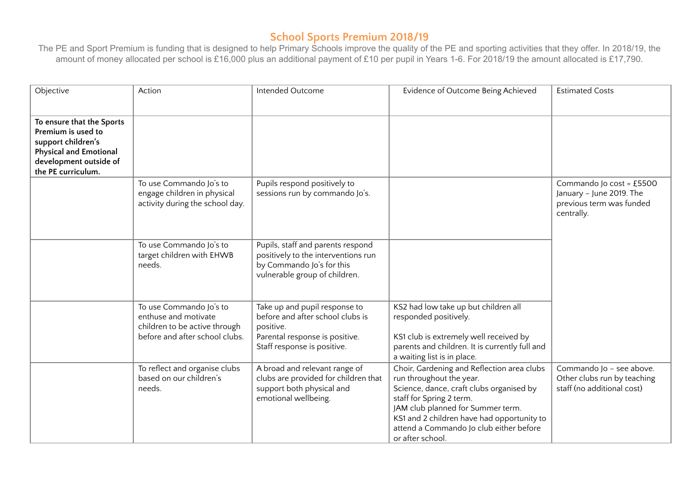| Objective                                                                                                                                              | Action                                                                                                             | Intended Outcome                                                                                                                                | Evidence of Outcome Being Achieved                                                                                                                                                                                                                                                               | <b>Estimated Costs</b>                                                                         |
|--------------------------------------------------------------------------------------------------------------------------------------------------------|--------------------------------------------------------------------------------------------------------------------|-------------------------------------------------------------------------------------------------------------------------------------------------|--------------------------------------------------------------------------------------------------------------------------------------------------------------------------------------------------------------------------------------------------------------------------------------------------|------------------------------------------------------------------------------------------------|
| To ensure that the Sports<br>Premium is used to<br>support children's<br><b>Physical and Emotional</b><br>development outside of<br>the PE curriculum. |                                                                                                                    |                                                                                                                                                 |                                                                                                                                                                                                                                                                                                  |                                                                                                |
|                                                                                                                                                        | To use Commando Jo's to<br>engage children in physical<br>activity during the school day.                          | Pupils respond positively to<br>sessions run by commando Jo's.                                                                                  |                                                                                                                                                                                                                                                                                                  | Commando Jo cost = £5500<br>January - June 2019. The<br>previous term was funded<br>centrally. |
|                                                                                                                                                        | To use Commando Jo's to<br>target children with EHWB<br>needs.                                                     | Pupils, staff and parents respond<br>positively to the interventions run<br>by Commando Jo's for this<br>vulnerable group of children.          |                                                                                                                                                                                                                                                                                                  |                                                                                                |
|                                                                                                                                                        | To use Commando Jo's to<br>enthuse and motivate<br>children to be active through<br>before and after school clubs. | Take up and pupil response to<br>before and after school clubs is<br>positive.<br>Parental response is positive.<br>Staff response is positive. | KS2 had low take up but children all<br>responded positively.<br>KS1 club is extremely well received by<br>parents and children. It is currently full and<br>a waiting list is in place.                                                                                                         |                                                                                                |
|                                                                                                                                                        | To reflect and organise clubs<br>based on our children's<br>needs.                                                 | A broad and relevant range of<br>clubs are provided for children that<br>support both physical and<br>emotional wellbeing.                      | Choir, Gardening and Reflection area clubs<br>run throughout the year.<br>Science, dance, craft clubs organised by<br>staff for Spring 2 term.<br>JAM club planned for Summer term.<br>KS1 and 2 children have had opportunity to<br>attend a Commando Jo club either before<br>or after school. | Commando Jo - see above.<br>Other clubs run by teaching<br>staff (no additional cost)          |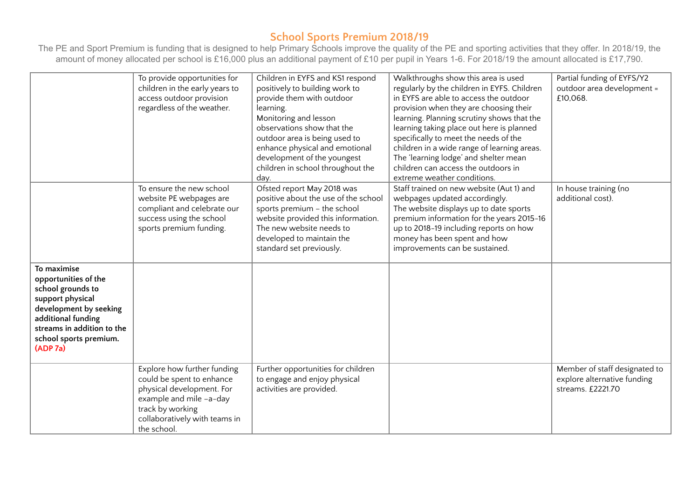|                                                                                                                                                                                                  | To provide opportunities for<br>children in the early years to<br>access outdoor provision<br>regardless of the weather.                                                             | Children in EYFS and KS1 respond<br>positively to building work to<br>provide them with outdoor<br>learning.<br>Monitoring and lesson<br>observations show that the<br>outdoor area is being used to<br>enhance physical and emotional<br>development of the youngest<br>children in school throughout the<br>day. | Walkthroughs show this area is used<br>regularly by the children in EYFS. Children<br>in EYFS are able to access the outdoor<br>provision when they are choosing their<br>learning. Planning scrutiny shows that the<br>learning taking place out here is planned<br>specifically to meet the needs of the<br>children in a wide range of learning areas.<br>The 'learning lodge' and shelter mean<br>children can access the outdoors in<br>extreme weather conditions. | Partial funding of EYFS/Y2<br>outdoor area development =<br>£10,068.              |
|--------------------------------------------------------------------------------------------------------------------------------------------------------------------------------------------------|--------------------------------------------------------------------------------------------------------------------------------------------------------------------------------------|--------------------------------------------------------------------------------------------------------------------------------------------------------------------------------------------------------------------------------------------------------------------------------------------------------------------|--------------------------------------------------------------------------------------------------------------------------------------------------------------------------------------------------------------------------------------------------------------------------------------------------------------------------------------------------------------------------------------------------------------------------------------------------------------------------|-----------------------------------------------------------------------------------|
|                                                                                                                                                                                                  | To ensure the new school<br>website PE webpages are<br>compliant and celebrate our<br>success using the school<br>sports premium funding.                                            | Ofsted report May 2018 was<br>positive about the use of the school<br>sports premium - the school<br>website provided this information.<br>The new website needs to<br>developed to maintain the<br>standard set previously.                                                                                       | Staff trained on new website (Aut 1) and<br>webpages updated accordingly.<br>The website displays up to date sports<br>premium information for the years 2015-16<br>up to 2018-19 including reports on how<br>money has been spent and how<br>improvements can be sustained.                                                                                                                                                                                             | In house training (no<br>additional cost).                                        |
| To maximise<br>opportunities of the<br>school grounds to<br>support physical<br>development by seeking<br>additional funding<br>streams in addition to the<br>school sports premium.<br>(ADP 7a) |                                                                                                                                                                                      |                                                                                                                                                                                                                                                                                                                    |                                                                                                                                                                                                                                                                                                                                                                                                                                                                          |                                                                                   |
|                                                                                                                                                                                                  | Explore how further funding<br>could be spent to enhance<br>physical development. For<br>example and mile -a-day<br>track by working<br>collaboratively with teams in<br>the school. | Further opportunities for children<br>to engage and enjoy physical<br>activities are provided.                                                                                                                                                                                                                     |                                                                                                                                                                                                                                                                                                                                                                                                                                                                          | Member of staff designated to<br>explore alternative funding<br>streams. £2221.70 |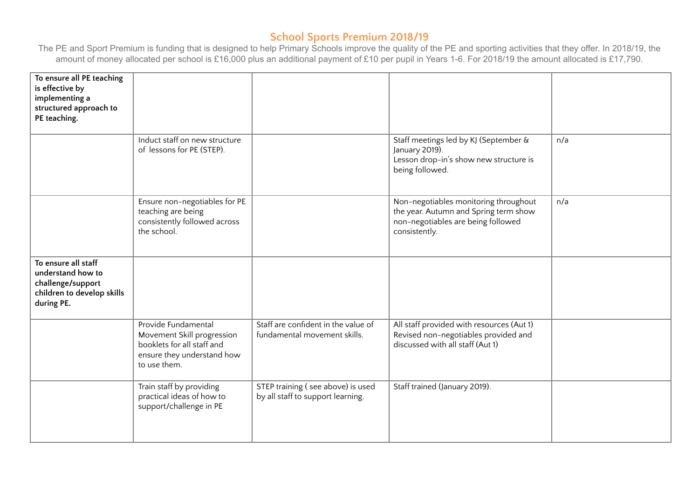| To ensure all PE teaching<br>is effective by<br>implementing a<br>structured approach to<br>PE teaching.  |                                                                                                                               |                                                                        |                                                                                                                                       |     |
|-----------------------------------------------------------------------------------------------------------|-------------------------------------------------------------------------------------------------------------------------------|------------------------------------------------------------------------|---------------------------------------------------------------------------------------------------------------------------------------|-----|
|                                                                                                           | Induct staff on new structure<br>of lessons for PE (STEP).                                                                    |                                                                        | Staff meetings led by KJ (September &<br>January 2019).<br>Lesson drop-in's show new structure is<br>being followed.                  | n/a |
|                                                                                                           | Ensure non-negotiables for PE<br>teaching are being<br>consistently followed across<br>the school.                            |                                                                        | Non-negotiables monitoring throughout<br>the year. Autumn and Spring term show<br>non-negotiables are being followed<br>consistently. | n/a |
| To ensure all staff<br>understand how to<br>challenge/support<br>children to develop skills<br>during PE. |                                                                                                                               |                                                                        |                                                                                                                                       |     |
|                                                                                                           | Provide Fundamental<br>Movement Skill progression<br>booklets for all staff and<br>ensure they understand how<br>to use them. | Staff are confident in the value of<br>fundamental movement skills.    | All staff provided with resources (Aut 1)<br>Revised non-negotiables provided and<br>discussed with all staff (Aut 1)                 |     |
|                                                                                                           | Train staff by providing<br>practical ideas of how to<br>support/challenge in PE                                              | STEP training (see above) is used<br>by all staff to support learning. | Staff trained (January 2019).                                                                                                         |     |